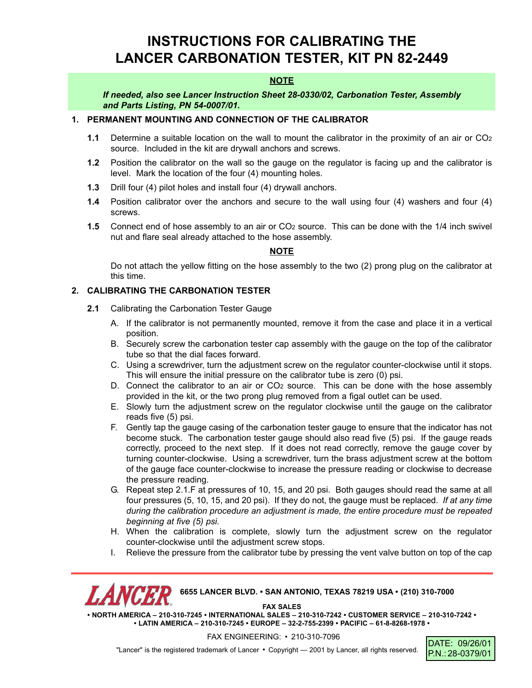# **INSTRUCTIONS FOR CALIBRATING THE LANCER CARBONATION TESTER, KIT PN 82-2449**

## **NOTE**

*If needed, also see Lancer Instruction Sheet 28-0330/02, Carbonation Tester, Assembly and Parts Listing, PN 54-0007/01.*

# **1. PERMANENT MOUNTING AND CONNECTION OF THE CALIBRATOR**

- **1.1** Determine a suitable location on the wall to mount the calibrator in the proximity of an air or CO2 source. Included in the kit are drywall anchors and screws.
- **1.2** Position the calibrator on the wall so the gauge on the regulator is facing up and the calibrator is level. Mark the location of the four (4) mounting holes.
- **1.3** Drill four (4) pilot holes and install four (4) drywall anchors.
- **1.4** Position calibrator over the anchors and secure to the wall using four (4) washers and four (4) screws.
- **1.5** Connect end of hose assembly to an air or CO<sub>2</sub> source. This can be done with the 1/4 inch swivel nut and flare seal already attached to the hose assembly.

#### **NOTE**

Do not attach the yellow fitting on the hose assembly to the two (2) prong plug on the calibrator at this time.

# **2. CALIBRATING THE CARBONATION TESTER**

- **2.1** Calibrating the Carbonation Tester Gauge
	- A. If the calibrator is not permanently mounted, remove it from the case and place it in a vertical position.
	- B. Securely screw the carbonation tester cap assembly with the gauge on the top of the calibrator tube so that the dial faces forward.
	- C. Using a screwdriver, turn the adjustment screw on the regulator counter-clockwise until it stops. This will ensure the initial pressure on the calibrator tube is zero (0) psi.
	- D. Connect the calibrator to an air or CO2 source. This can be done with the hose assembly provided in the kit, or the two prong plug removed from a figal outlet can be used.
	- E. Slowly turn the adjustment screw on the regulator clockwise until the gauge on the calibrator reads five (5) psi.
	- F. Gently tap the gauge casing of the carbonation tester gauge to ensure that the indicator has not become stuck. The carbonation tester gauge should also read five (5) psi. If the gauge reads correctly, proceed to the next step. If it does not read correctly, remove the gauge cover by turning counter-clockwise. Using a screwdriver, turn the brass adjustment screw at the bottom of the gauge face counter-clockwise to increase the pressure reading or clockwise to decrease the pressure reading.
	- G. Repeat step 2.1.F at pressures of 10, 15, and 20 psi. Both gauges should read the same at all four pressures (5, 10, 15, and 20 psi). If they do not, the gauge must be replaced. *If at any time during the calibration procedure an adjustment is made, the entire procedure must be repeated beginning at five (5) psi.*
	- H. When the calibration is complete, slowly turn the adjustment screw on the regulator counter-clockwise until the adjustment screw stops.
	- I. Relieve the pressure from the calibrator tube by pressing the vent valve button on top of the cap

**6655 LANCER BLVD. • SAN ANTONIO, TEXAS 78219 USA • (210) 310-7000 FAX SALES**

**• NORTH AMERICA – 210-310-7245 • INTERNATIONAL SALES – 210-310-7242 • CUSTOMER SERVICE – 210-310-7242 • • LATIN AMERICA – 210-310-7245 • EUROPE – 32-2-755-2399 • PACIFIC – 61-8-8268-1978 •**

FAX ENGINEERING: • 210-310-7096

"Lancer" is the registered trademark of Lancer • Copyright - 2001 by Lancer, all rights reserved.